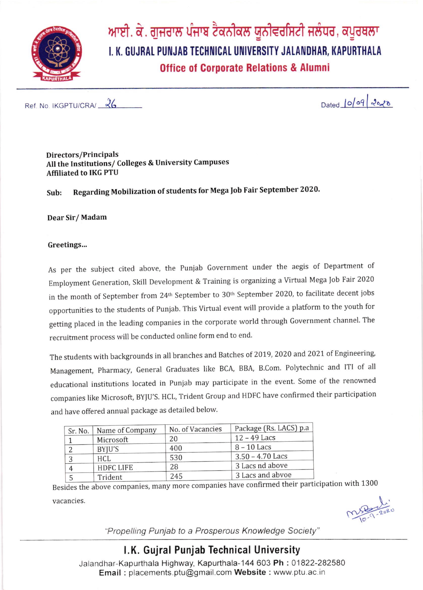

ਆਈ. ਕੇ. ਗੁਜਰਾਲ ਪੰਜਾਬ ਟੈਕਨੀਕਲ ਯੂਨੀਵਰਸਿਟੀ ਜਲੰਧਰ, ਕਪੂਰਥਲਾ I. K. GUJRAL PUNJAB TECHNICAL UNIVERSITY JALANDHAR, KAPURTHALA **Office of Corporate Relations & Alumni** 

Ref. No. IKGPTU/CRA/ 26

Dated 10/09 2020

Directors/Principals All the Institutions/ Colleges & University Campuses **Affiliated to IKG PTU** 

Regarding Mobilization of students for Mega Job Fair September 2020. Sub:

Dear Sir/Madam

## Greetings...

As per the subject cited above, the Punjab Government under the aegis of Department of Employment Generation, Skill Development & Training is organizing a Virtual Mega Job Fair 2020 in the month of September from 24<sup>th</sup> September to 30<sup>th</sup> September 2020, to facilitate decent jobs opportunities to the students of Punjab. This Virtual event will provide a platform to the youth for getting placed in the leading companies in the corporate world through Government channel. The recruitment process will be conducted online form end to end.

The students with backgrounds in all branches and Batches of 2019, 2020 and 2021 of Engineering, Management, Pharmacy, General Graduates like BCA, BBA, B.Com. Polytechnic and ITI of all educational institutions located in Punjab may participate in the event. Some of the renowned companies like Microsoft, BYJU'S. HCL, Trident Group and HDFC have confirmed their participation and have offered annual package as detailed below.

| Sr. No. | Name of Company  | No. of Vacancies | Package (Rs. LACS) p.a |  |  |  |  |
|---------|------------------|------------------|------------------------|--|--|--|--|
|         | Microsoft        | 20               | $12 - 49$ Lacs         |  |  |  |  |
|         | BYJU'S           | 400              | $8 - 10$ Lacs          |  |  |  |  |
| 3       | HCL              | 530              | $3.50 - 4.70$ Lacs     |  |  |  |  |
| 4       | <b>HDFC LIFE</b> | 28               | 3 Lacs nd above        |  |  |  |  |
|         | Trident          | 245              | 3 Lacs and abvoe       |  |  |  |  |

Besides the above companies, many more companies have confirmed their participation with 1300

vacancies.

nspo 2020

"Propelling Punjab to a Prosperous Knowledge Society"

## I.K. Gujral Punjab Technical University

Jalandhar-Kapurthala Highway, Kapurthala-144 603 Ph: 01822-282580 Email: placements.ptu@gmail.com Website: www.ptu.ac.in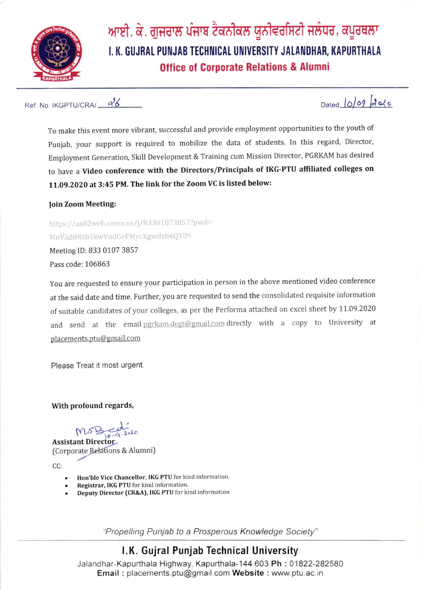

ਆਈ. ਕੇ. ਗੁਜਰਾਲ ਪੰਜਾਬ ਟੈਕਨੀਕਲ ਯੂਨੀਵਰਸਿਟੀ ਜਲੰਧਰ, ਕਪੂਰਥਲਾ I. K. GUJRAL PUNJAB TECHNICAL UNIVERSITY JALANDHAR, KAPURTHALA **Office of Corporate Relations & Alumni** 

Ref. No. IKGPTU/CRA/  $\frac{\partial^2}{\partial \theta}$ 

To make this event more vibrant, successful and provide employment opportunities to the youth of Punjab, your support is required to mobilize the data of students. In this regard, Director, Employment Generation, Skill Development & Training cum Mission Director, PGRKAM has desired to have a Video conference with the Directors/Principals of IKG-PTU affiliated colleges on 11.09.2020 at 3:45 PM. The link for the Zoom VC is listed below:

loin Zoom Meeting:

https://us02web.zoom.us/j/83301073857?pwd= MnVhZ0RSb1kwVndGeFMycXgwdzh6QT09 Meeting ID: 833 0107 3857 Pass code: 106863

You are requested to ensure your participation in person in the above mentioned video conference at the said date and time. Further, you are requested to send the consolidated requisite information of suitable candidates of your colleges, as per the Performa attached on excel sheet by 11.09.2020 and send at the email pgrkam.degt@gmail.com directly with a copy to University at placements.ptu@gmail.com

Please Treat it most urgent.

With profound regards,

 $MSB_{10-9-2020}$ 

Assistant Director (Corporate Relations & Alumni)

CC:

- Hon'ble Vice Chancellor, IKG PTU for kind information.
- Registrar, IKG PTU for kind information.
- Deputy Director (CR&A), IKG PTU for kind information

Propelling Punjab to a Prosperous Knowledge Society"

## LK. Gujral Punjab Technical University

Jalandhar-Kapurthala Highway, Kapurthala-144 603 Ph: 01822-282580 Email : placements. ptu@gmail.com Website : www.ptu.ac. in